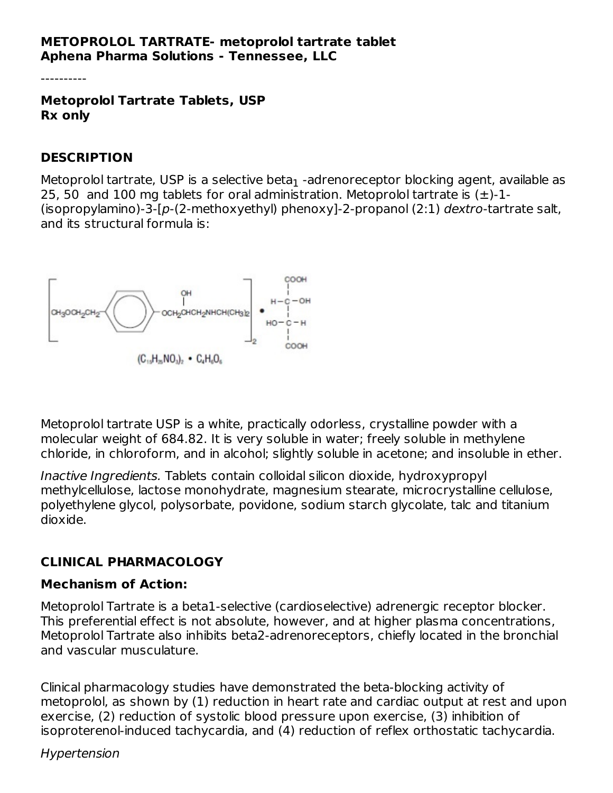#### **METOPROLOL TARTRATE- metoprolol tartrate tablet Aphena Pharma Solutions - Tennessee, LLC**

----------

**Metoprolol Tartrate Tablets, USP Rx only**

#### **DESCRIPTION**

Metoprolol tartrate, USP is a selective beta $_{\rm 1}$  -adrenoreceptor blocking agent, available as 25, 50 and 100 mg tablets for oral administration. Metoprolol tartrate is  $(\pm)$ -1-(isopropylamino)-3-[p-(2-methoxyethyl) phenoxy]-2-propanol (2:1) dextro-tartrate salt, and its structural formula is:



Metoprolol tartrate USP is a white, practically odorless, crystalline powder with a molecular weight of 684.82. It is very soluble in water; freely soluble in methylene chloride, in chloroform, and in alcohol; slightly soluble in acetone; and insoluble in ether.

Inactive Ingredients. Tablets contain colloidal silicon dioxide, hydroxypropyl methylcellulose, lactose monohydrate, magnesium stearate, microcrystalline cellulose, polyethylene glycol, polysorbate, povidone, sodium starch glycolate, talc and titanium dioxide.

#### **CLINICAL PHARMACOLOGY**

#### **Mechanism of Action:**

Metoprolol Tartrate is a beta1-selective (cardioselective) adrenergic receptor blocker. This preferential effect is not absolute, however, and at higher plasma concentrations, Metoprolol Tartrate also inhibits beta2-adrenoreceptors, chiefly located in the bronchial and vascular musculature.

Clinical pharmacology studies have demonstrated the beta-blocking activity of metoprolol, as shown by (1) reduction in heart rate and cardiac output at rest and upon exercise, (2) reduction of systolic blood pressure upon exercise, (3) inhibition of isoproterenol-induced tachycardia, and (4) reduction of reflex orthostatic tachycardia.

#### Hypertension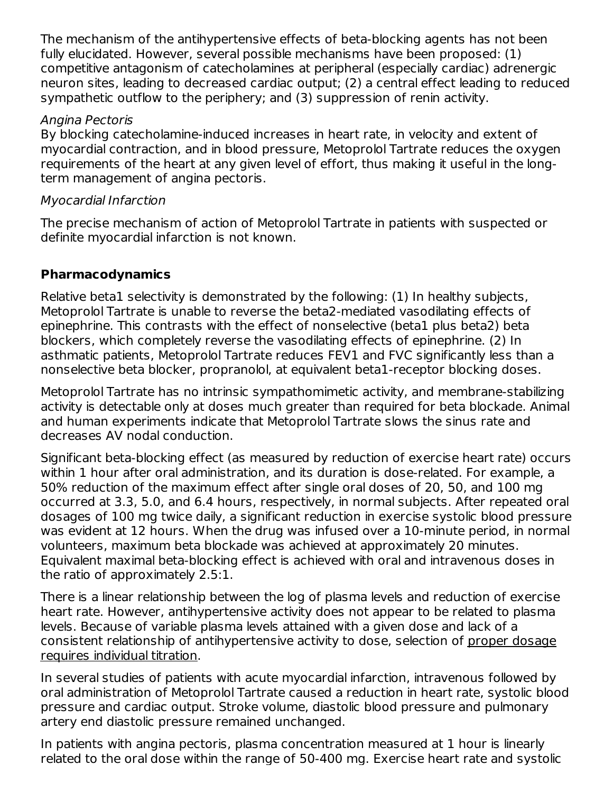The mechanism of the antihypertensive effects of beta-blocking agents has not been fully elucidated. However, several possible mechanisms have been proposed: (1) competitive antagonism of catecholamines at peripheral (especially cardiac) adrenergic neuron sites, leading to decreased cardiac output; (2) a central effect leading to reduced sympathetic outflow to the periphery; and (3) suppression of renin activity.

#### Angina Pectoris

By blocking catecholamine-induced increases in heart rate, in velocity and extent of myocardial contraction, and in blood pressure, Metoprolol Tartrate reduces the oxygen requirements of the heart at any given level of effort, thus making it useful in the longterm management of angina pectoris.

#### Myocardial Infarction

The precise mechanism of action of Metoprolol Tartrate in patients with suspected or definite myocardial infarction is not known.

### **Pharmacodynamics**

Relative beta1 selectivity is demonstrated by the following: (1) In healthy subjects, Metoprolol Tartrate is unable to reverse the beta2-mediated vasodilating effects of epinephrine. This contrasts with the effect of nonselective (beta1 plus beta2) beta blockers, which completely reverse the vasodilating effects of epinephrine. (2) In asthmatic patients, Metoprolol Tartrate reduces FEV1 and FVC significantly less than a nonselective beta blocker, propranolol, at equivalent beta1-receptor blocking doses.

Metoprolol Tartrate has no intrinsic sympathomimetic activity, and membrane-stabilizing activity is detectable only at doses much greater than required for beta blockade. Animal and human experiments indicate that Metoprolol Tartrate slows the sinus rate and decreases AV nodal conduction.

Significant beta-blocking effect (as measured by reduction of exercise heart rate) occurs within 1 hour after oral administration, and its duration is dose-related. For example, a 50% reduction of the maximum effect after single oral doses of 20, 50, and 100 mg occurred at 3.3, 5.0, and 6.4 hours, respectively, in normal subjects. After repeated oral dosages of 100 mg twice daily, a significant reduction in exercise systolic blood pressure was evident at 12 hours. When the drug was infused over a 10-minute period, in normal volunteers, maximum beta blockade was achieved at approximately 20 minutes. Equivalent maximal beta-blocking effect is achieved with oral and intravenous doses in the ratio of approximately 2.5:1.

There is a linear relationship between the log of plasma levels and reduction of exercise heart rate. However, antihypertensive activity does not appear to be related to plasma levels. Because of variable plasma levels attained with a given dose and lack of a consistent relationship of antihypertensive activity to dose, selection of proper dosage requires individual titration.

In several studies of patients with acute myocardial infarction, intravenous followed by oral administration of Metoprolol Tartrate caused a reduction in heart rate, systolic blood pressure and cardiac output. Stroke volume, diastolic blood pressure and pulmonary artery end diastolic pressure remained unchanged.

In patients with angina pectoris, plasma concentration measured at 1 hour is linearly related to the oral dose within the range of 50-400 mg. Exercise heart rate and systolic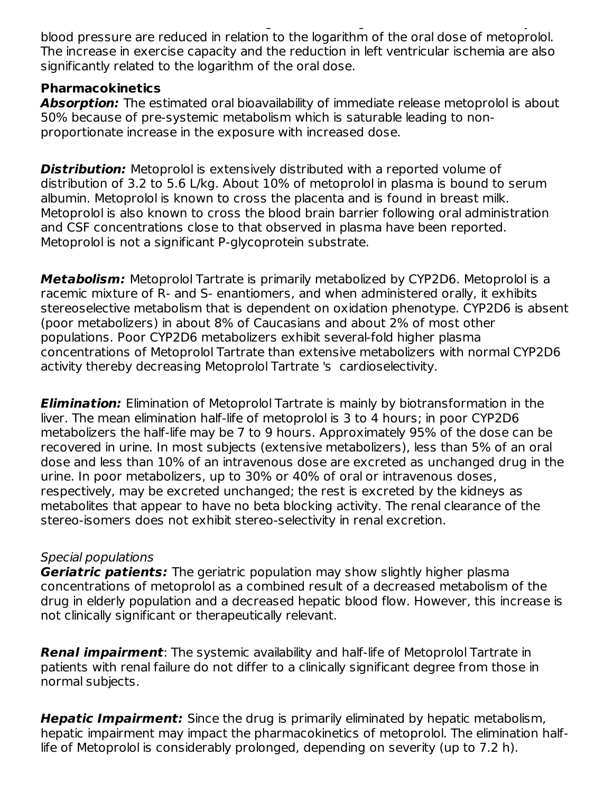related to the oral dose within the range of 50-400 mg. Exercise heart rate and systolic blood pressure are reduced in relation to the logarithm of the oral dose of metoprolol. The increase in exercise capacity and the reduction in left ventricular ischemia are also significantly related to the logarithm of the oral dose.

#### **Pharmacokinetics**

**Absorption:** The estimated oral bioavailability of immediate release metoprolol is about 50% because of pre-systemic metabolism which is saturable leading to nonproportionate increase in the exposure with increased dose.

**Distribution:** Metoprolol is extensively distributed with a reported volume of distribution of 3.2 to 5.6 L/kg. About 10% of metoprolol in plasma is bound to serum albumin. Metoprolol is known to cross the placenta and is found in breast milk. Metoprolol is also known to cross the blood brain barrier following oral administration and CSF concentrations close to that observed in plasma have been reported. Metoprolol is not a significant P-glycoprotein substrate.

**Metabolism:** Metoprolol Tartrate is primarily metabolized by CYP2D6. Metoprolol is a racemic mixture of R- and S- enantiomers, and when administered orally, it exhibits stereoselective metabolism that is dependent on oxidation phenotype. CYP2D6 is absent (poor metabolizers) in about 8% of Caucasians and about 2% of most other populations. Poor CYP2D6 metabolizers exhibit several-fold higher plasma concentrations of Metoprolol Tartrate than extensive metabolizers with normal CYP2D6 activity thereby decreasing Metoprolol Tartrate 's cardioselectivity.

**Elimination:** Elimination of Metoprolol Tartrate is mainly by biotransformation in the liver. The mean elimination half-life of metoprolol is 3 to 4 hours; in poor CYP2D6 metabolizers the half-life may be 7 to 9 hours. Approximately 95% of the dose can be recovered in urine. In most subjects (extensive metabolizers), less than 5% of an oral dose and less than 10% of an intravenous dose are excreted as unchanged drug in the urine. In poor metabolizers, up to 30% or 40% of oral or intravenous doses, respectively, may be excreted unchanged; the rest is excreted by the kidneys as metabolites that appear to have no beta blocking activity. The renal clearance of the stereo-isomers does not exhibit stereo-selectivity in renal excretion.

### Special populations

**Geriatric patients:** The geriatric population may show slightly higher plasma concentrations of metoprolol as a combined result of a decreased metabolism of the drug in elderly population and a decreased hepatic blood flow. However, this increase is not clinically significant or therapeutically relevant.

**Renal impairment**: The systemic availability and half-life of Metoprolol Tartrate in patients with renal failure do not differ to a clinically significant degree from those in normal subjects.

**Hepatic Impairment:** Since the drug is primarily eliminated by hepatic metabolism, hepatic impairment may impact the pharmacokinetics of metoprolol. The elimination halflife of Metoprolol is considerably prolonged, depending on severity (up to 7.2 h).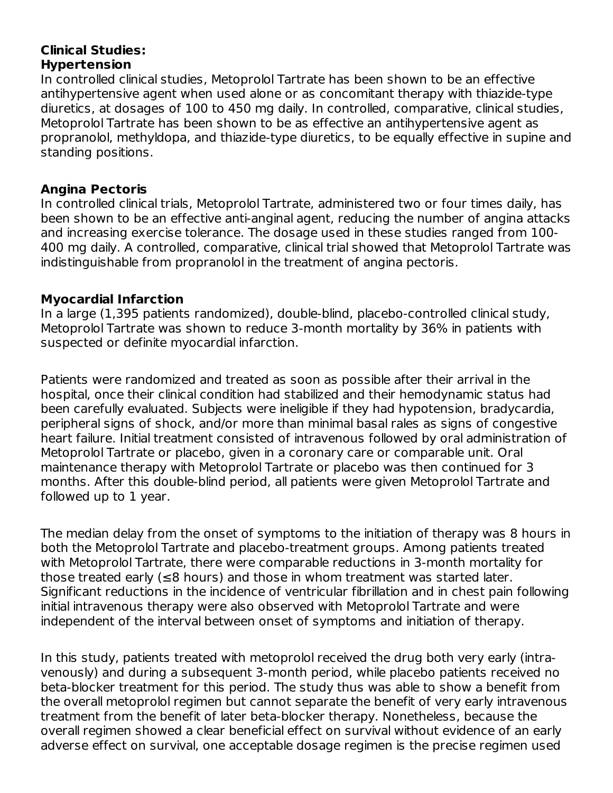#### **Clinical Studies: Hypertension**

In controlled clinical studies, Metoprolol Tartrate has been shown to be an effective antihypertensive agent when used alone or as concomitant therapy with thiazide-type diuretics, at dosages of 100 to 450 mg daily. In controlled, comparative, clinical studies, Metoprolol Tartrate has been shown to be as effective an antihypertensive agent as propranolol, methyldopa, and thiazide-type diuretics, to be equally effective in supine and standing positions.

#### **Angina Pectoris**

In controlled clinical trials, Metoprolol Tartrate, administered two or four times daily, has been shown to be an effective anti-anginal agent, reducing the number of angina attacks and increasing exercise tolerance. The dosage used in these studies ranged from 100- 400 mg daily. A controlled, comparative, clinical trial showed that Metoprolol Tartrate was indistinguishable from propranolol in the treatment of angina pectoris.

#### **Myocardial Infarction**

In a large (1,395 patients randomized), double-blind, placebo-controlled clinical study, Metoprolol Tartrate was shown to reduce 3-month mortality by 36% in patients with suspected or definite myocardial infarction.

Patients were randomized and treated as soon as possible after their arrival in the hospital, once their clinical condition had stabilized and their hemodynamic status had been carefully evaluated. Subjects were ineligible if they had hypotension, bradycardia, peripheral signs of shock, and/or more than minimal basal rales as signs of congestive heart failure. Initial treatment consisted of intravenous followed by oral administration of Metoprolol Tartrate or placebo, given in a coronary care or comparable unit. Oral maintenance therapy with Metoprolol Tartrate or placebo was then continued for 3 months. After this double-blind period, all patients were given Metoprolol Tartrate and followed up to 1 year.

The median delay from the onset of symptoms to the initiation of therapy was 8 hours in both the Metoprolol Tartrate and placebo-treatment groups. Among patients treated with Metoprolol Tartrate, there were comparable reductions in 3-month mortality for those treated early (≤8 hours) and those in whom treatment was started later. Significant reductions in the incidence of ventricular fibrillation and in chest pain following initial intravenous therapy were also observed with Metoprolol Tartrate and were independent of the interval between onset of symptoms and initiation of therapy.

In this study, patients treated with metoprolol received the drug both very early (intravenously) and during a subsequent 3-month period, while placebo patients received no beta-blocker treatment for this period. The study thus was able to show a benefit from the overall metoprolol regimen but cannot separate the benefit of very early intravenous treatment from the benefit of later beta-blocker therapy. Nonetheless, because the overall regimen showed a clear beneficial effect on survival without evidence of an early adverse effect on survival, one acceptable dosage regimen is the precise regimen used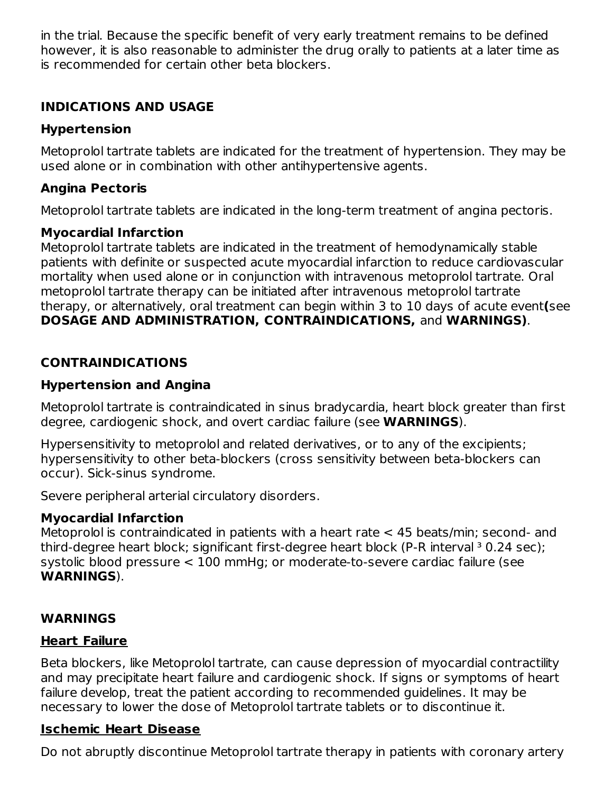in the trial. Because the specific benefit of very early treatment remains to be defined however, it is also reasonable to administer the drug orally to patients at a later time as is recommended for certain other beta blockers.

### **INDICATIONS AND USAGE**

### **Hypertension**

Metoprolol tartrate tablets are indicated for the treatment of hypertension. They may be used alone or in combination with other antihypertensive agents.

## **Angina Pectoris**

Metoprolol tartrate tablets are indicated in the long-term treatment of angina pectoris.

### **Myocardial Infarction**

Metoprolol tartrate tablets are indicated in the treatment of hemodynamically stable patients with definite or suspected acute myocardial infarction to reduce cardiovascular mortality when used alone or in conjunction with intravenous metoprolol tartrate. Oral metoprolol tartrate therapy can be initiated after intravenous metoprolol tartrate therapy, or alternatively, oral treatment can begin within 3 to 10 days of acute event**(**see **DOSAGE AND ADMINISTRATION, CONTRAINDICATIONS,** and **WARNINGS)**.

## **CONTRAINDICATIONS**

### **Hypertension and Angina**

Metoprolol tartrate is contraindicated in sinus bradycardia, heart block greater than first degree, cardiogenic shock, and overt cardiac failure (see **WARNINGS**).

Hypersensitivity to metoprolol and related derivatives, or to any of the excipients; hypersensitivity to other beta-blockers (cross sensitivity between beta-blockers can occur). Sick-sinus syndrome.

Severe peripheral arterial circulatory disorders.

### **Myocardial Infarction**

Metoprolol is contraindicated in patients with a heart rate < 45 beats/min; second- and third-degree heart block; significant first-degree heart block (P-R interval  $3$  0.24 sec); systolic blood pressure < 100 mmHg; or moderate-to-severe cardiac failure (see **WARNINGS**).

## **WARNINGS**

## **Heart Failure**

Beta blockers, like Metoprolol tartrate, can cause depression of myocardial contractility and may precipitate heart failure and cardiogenic shock. If signs or symptoms of heart failure develop, treat the patient according to recommended guidelines. It may be necessary to lower the dose of Metoprolol tartrate tablets or to discontinue it.

## **Ischemic Heart Disease**

Do not abruptly discontinue Metoprolol tartrate therapy in patients with coronary artery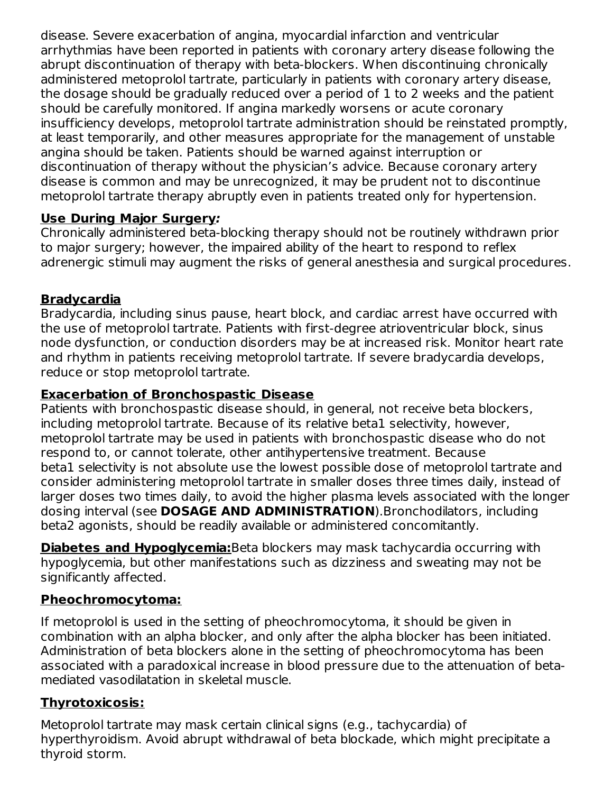disease. Severe exacerbation of angina, myocardial infarction and ventricular arrhythmias have been reported in patients with coronary artery disease following the abrupt discontinuation of therapy with beta-blockers. When discontinuing chronically administered metoprolol tartrate, particularly in patients with coronary artery disease, the dosage should be gradually reduced over a period of 1 to 2 weeks and the patient should be carefully monitored. If angina markedly worsens or acute coronary insufficiency develops, metoprolol tartrate administration should be reinstated promptly, at least temporarily, and other measures appropriate for the management of unstable angina should be taken. Patients should be warned against interruption or discontinuation of therapy without the physician's advice. Because coronary artery disease is common and may be unrecognized, it may be prudent not to discontinue metoprolol tartrate therapy abruptly even in patients treated only for hypertension.

### **Use During Major Surgery:**

Chronically administered beta-blocking therapy should not be routinely withdrawn prior to major surgery; however, the impaired ability of the heart to respond to reflex adrenergic stimuli may augment the risks of general anesthesia and surgical procedures.

### **Bradycardia**

Bradycardia, including sinus pause, heart block, and cardiac arrest have occurred with the use of metoprolol tartrate. Patients with first-degree atrioventricular block, sinus node dysfunction, or conduction disorders may be at increased risk. Monitor heart rate and rhythm in patients receiving metoprolol tartrate. If severe bradycardia develops, reduce or stop metoprolol tartrate.

#### **Exacerbation of Bronchospastic Disease**

Patients with bronchospastic disease should, in general, not receive beta blockers, including metoprolol tartrate. Because of its relative beta1 selectivity, however, metoprolol tartrate may be used in patients with bronchospastic disease who do not respond to, or cannot tolerate, other antihypertensive treatment. Because beta1 selectivity is not absolute use the lowest possible dose of metoprolol tartrate and consider administering metoprolol tartrate in smaller doses three times daily, instead of larger doses two times daily, to avoid the higher plasma levels associated with the longer dosing interval (see **DOSAGE AND ADMINISTRATION**).Bronchodilators, including beta2 agonists, should be readily available or administered concomitantly.

**Diabetes and Hypoglycemia:**Beta blockers may mask tachycardia occurring with hypoglycemia, but other manifestations such as dizziness and sweating may not be significantly affected.

### **Pheochromocytoma:**

If metoprolol is used in the setting of pheochromocytoma, it should be given in combination with an alpha blocker, and only after the alpha blocker has been initiated. Administration of beta blockers alone in the setting of pheochromocytoma has been associated with a paradoxical increase in blood pressure due to the attenuation of betamediated vasodilatation in skeletal muscle.

### **Thyrotoxicosis:**

Metoprolol tartrate may mask certain clinical signs (e.g., tachycardia) of hyperthyroidism. Avoid abrupt withdrawal of beta blockade, which might precipitate a thyroid storm.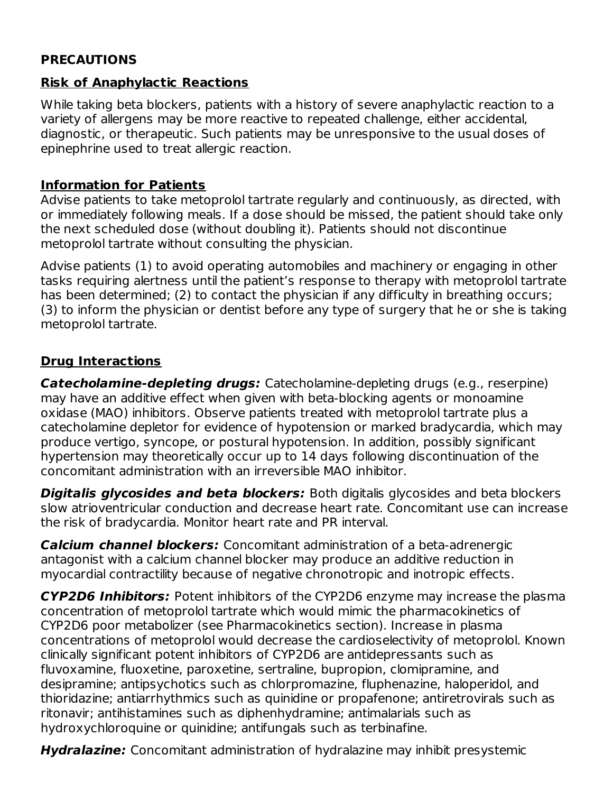#### **PRECAUTIONS**

### **Risk of Anaphylactic Reactions**

While taking beta blockers, patients with a history of severe anaphylactic reaction to a variety of allergens may be more reactive to repeated challenge, either accidental, diagnostic, or therapeutic. Such patients may be unresponsive to the usual doses of epinephrine used to treat allergic reaction.

### **Information for Patients**

Advise patients to take metoprolol tartrate regularly and continuously, as directed, with or immediately following meals. If a dose should be missed, the patient should take only the next scheduled dose (without doubling it). Patients should not discontinue metoprolol tartrate without consulting the physician.

Advise patients (1) to avoid operating automobiles and machinery or engaging in other tasks requiring alertness until the patient's response to therapy with metoprolol tartrate has been determined; (2) to contact the physician if any difficulty in breathing occurs; (3) to inform the physician or dentist before any type of surgery that he or she is taking metoprolol tartrate.

### **Drug Interactions**

**Catecholamine-depleting drugs:** Catecholamine-depleting drugs (e.g., reserpine) may have an additive effect when given with beta-blocking agents or monoamine oxidase (MAO) inhibitors. Observe patients treated with metoprolol tartrate plus a catecholamine depletor for evidence of hypotension or marked bradycardia, which may produce vertigo, syncope, or postural hypotension. In addition, possibly significant hypertension may theoretically occur up to 14 days following discontinuation of the concomitant administration with an irreversible MAO inhibitor.

**Digitalis glycosides and beta blockers:** Both digitalis glycosides and beta blockers slow atrioventricular conduction and decrease heart rate. Concomitant use can increase the risk of bradycardia. Monitor heart rate and PR interval.

**Calcium channel blockers:** Concomitant administration of a beta-adrenergic antagonist with a calcium channel blocker may produce an additive reduction in myocardial contractility because of negative chronotropic and inotropic effects.

**CYP2D6 Inhibitors:** Potent inhibitors of the CYP2D6 enzyme may increase the plasma concentration of metoprolol tartrate which would mimic the pharmacokinetics of CYP2D6 poor metabolizer (see Pharmacokinetics section). Increase in plasma concentrations of metoprolol would decrease the cardioselectivity of metoprolol. Known clinically significant potent inhibitors of CYP2D6 are antidepressants such as fluvoxamine, fluoxetine, paroxetine, sertraline, bupropion, clomipramine, and desipramine; antipsychotics such as chlorpromazine, fluphenazine, haloperidol, and thioridazine; antiarrhythmics such as quinidine or propafenone; antiretrovirals such as ritonavir; antihistamines such as diphenhydramine; antimalarials such as hydroxychloroquine or quinidine; antifungals such as terbinafine.

**Hydralazine:** Concomitant administration of hydralazine may inhibit presystemic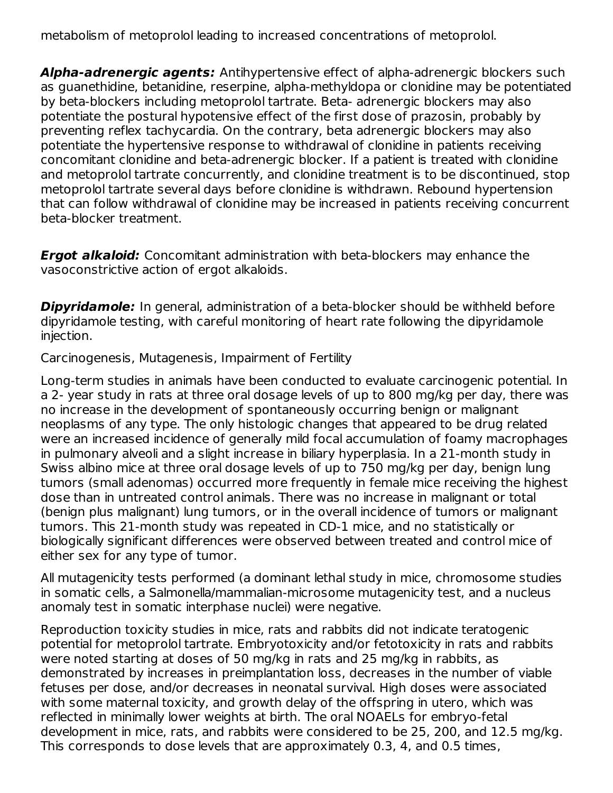metabolism of metoprolol leading to increased concentrations of metoprolol.

**Alpha-adrenergic agents:** Antihypertensive effect of alpha-adrenergic blockers such as guanethidine, betanidine, reserpine, alpha-methyldopa or clonidine may be potentiated by beta-blockers including metoprolol tartrate. Beta- adrenergic blockers may also potentiate the postural hypotensive effect of the first dose of prazosin, probably by preventing reflex tachycardia. On the contrary, beta adrenergic blockers may also potentiate the hypertensive response to withdrawal of clonidine in patients receiving concomitant clonidine and beta-adrenergic blocker. If a patient is treated with clonidine and metoprolol tartrate concurrently, and clonidine treatment is to be discontinued, stop metoprolol tartrate several days before clonidine is withdrawn. Rebound hypertension that can follow withdrawal of clonidine may be increased in patients receiving concurrent beta-blocker treatment.

**Ergot alkaloid:** Concomitant administration with beta-blockers may enhance the vasoconstrictive action of ergot alkaloids.

**Dipyridamole:** In general, administration of a beta-blocker should be withheld before dipyridamole testing, with careful monitoring of heart rate following the dipyridamole injection.

Carcinogenesis, Mutagenesis, Impairment of Fertility

Long-term studies in animals have been conducted to evaluate carcinogenic potential. In a 2- year study in rats at three oral dosage levels of up to 800 mg/kg per day, there was no increase in the development of spontaneously occurring benign or malignant neoplasms of any type. The only histologic changes that appeared to be drug related were an increased incidence of generally mild focal accumulation of foamy macrophages in pulmonary alveoli and a slight increase in biliary hyperplasia. In a 21-month study in Swiss albino mice at three oral dosage levels of up to 750 mg/kg per day, benign lung tumors (small adenomas) occurred more frequently in female mice receiving the highest dose than in untreated control animals. There was no increase in malignant or total (benign plus malignant) lung tumors, or in the overall incidence of tumors or malignant tumors. This 21-month study was repeated in CD-1 mice, and no statistically or biologically significant differences were observed between treated and control mice of either sex for any type of tumor.

All mutagenicity tests performed (a dominant lethal study in mice, chromosome studies in somatic cells, a Salmonella/mammalian-microsome mutagenicity test, and a nucleus anomaly test in somatic interphase nuclei) were negative.

Reproduction toxicity studies in mice, rats and rabbits did not indicate teratogenic potential for metoprolol tartrate. Embryotoxicity and/or fetotoxicity in rats and rabbits were noted starting at doses of 50 mg/kg in rats and 25 mg/kg in rabbits, as demonstrated by increases in preimplantation loss, decreases in the number of viable fetuses per dose, and/or decreases in neonatal survival. High doses were associated with some maternal toxicity, and growth delay of the offspring in utero, which was reflected in minimally lower weights at birth. The oral NOAELs for embryo-fetal development in mice, rats, and rabbits were considered to be 25, 200, and 12.5 mg/kg. This corresponds to dose levels that are approximately 0.3, 4, and 0.5 times,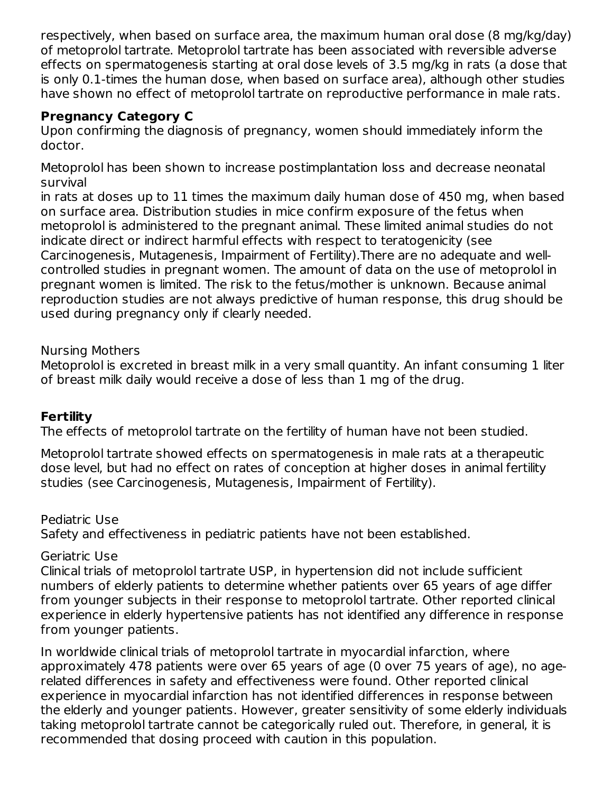respectively, when based on surface area, the maximum human oral dose (8 mg/kg/day) of metoprolol tartrate. Metoprolol tartrate has been associated with reversible adverse effects on spermatogenesis starting at oral dose levels of 3.5 mg/kg in rats (a dose that is only 0.1-times the human dose, when based on surface area), although other studies have shown no effect of metoprolol tartrate on reproductive performance in male rats.

### **Pregnancy Category C**

Upon confirming the diagnosis of pregnancy, women should immediately inform the doctor.

Metoprolol has been shown to increase postimplantation loss and decrease neonatal survival

in rats at doses up to 11 times the maximum daily human dose of 450 mg, when based on surface area. Distribution studies in mice confirm exposure of the fetus when metoprolol is administered to the pregnant animal. These limited animal studies do not indicate direct or indirect harmful effects with respect to teratogenicity (see Carcinogenesis, Mutagenesis, Impairment of Fertility).There are no adequate and wellcontrolled studies in pregnant women. The amount of data on the use of metoprolol in pregnant women is limited. The risk to the fetus/mother is unknown. Because animal reproduction studies are not always predictive of human response, this drug should be used during pregnancy only if clearly needed.

#### Nursing Mothers

Metoprolol is excreted in breast milk in a very small quantity. An infant consuming 1 liter of breast milk daily would receive a dose of less than 1 mg of the drug.

#### **Fertility**

The effects of metoprolol tartrate on the fertility of human have not been studied.

Metoprolol tartrate showed effects on spermatogenesis in male rats at a therapeutic dose level, but had no effect on rates of conception at higher doses in animal fertility studies (see Carcinogenesis, Mutagenesis, Impairment of Fertility).

Pediatric Use Safety and effectiveness in pediatric patients have not been established.

Geriatric Use

Clinical trials of metoprolol tartrate USP, in hypertension did not include sufficient numbers of elderly patients to determine whether patients over 65 years of age differ from younger subjects in their response to metoprolol tartrate. Other reported clinical experience in elderly hypertensive patients has not identified any difference in response from younger patients.

In worldwide clinical trials of metoprolol tartrate in myocardial infarction, where approximately 478 patients were over 65 years of age (0 over 75 years of age), no agerelated differences in safety and effectiveness were found. Other reported clinical experience in myocardial infarction has not identified differences in response between the elderly and younger patients. However, greater sensitivity of some elderly individuals taking metoprolol tartrate cannot be categorically ruled out. Therefore, in general, it is recommended that dosing proceed with caution in this population.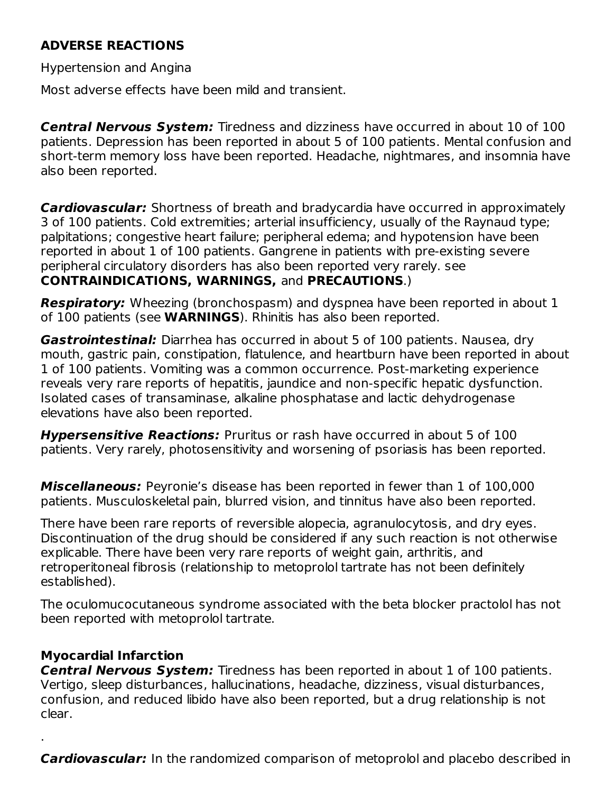### **ADVERSE REACTIONS**

Hypertension and Angina

Most adverse effects have been mild and transient.

**Central Nervous System:** Tiredness and dizziness have occurred in about 10 of 100 patients. Depression has been reported in about 5 of 100 patients. Mental confusion and short-term memory loss have been reported. Headache, nightmares, and insomnia have also been reported.

**Cardiovascular:** Shortness of breath and bradycardia have occurred in approximately 3 of 100 patients. Cold extremities; arterial insufficiency, usually of the Raynaud type; palpitations; congestive heart failure; peripheral edema; and hypotension have been reported in about 1 of 100 patients. Gangrene in patients with pre-existing severe peripheral circulatory disorders has also been reported very rarely. see **CONTRAINDICATIONS, WARNINGS,** and **PRECAUTIONS**.)

**Respiratory:** Wheezing (bronchospasm) and dyspnea have been reported in about 1 of 100 patients (see **WARNINGS**). Rhinitis has also been reported.

**Gastrointestinal:** Diarrhea has occurred in about 5 of 100 patients. Nausea, dry mouth, gastric pain, constipation, flatulence, and heartburn have been reported in about 1 of 100 patients. Vomiting was a common occurrence. Post-marketing experience reveals very rare reports of hepatitis, jaundice and non-specific hepatic dysfunction. Isolated cases of transaminase, alkaline phosphatase and lactic dehydrogenase elevations have also been reported.

**Hypersensitive Reactions:** Pruritus or rash have occurred in about 5 of 100 patients. Very rarely, photosensitivity and worsening of psoriasis has been reported.

**Miscellaneous:** Peyronie's disease has been reported in fewer than 1 of 100,000 patients. Musculoskeletal pain, blurred vision, and tinnitus have also been reported.

There have been rare reports of reversible alopecia, agranulocytosis, and dry eyes. Discontinuation of the drug should be considered if any such reaction is not otherwise explicable. There have been very rare reports of weight gain, arthritis, and retroperitoneal fibrosis (relationship to metoprolol tartrate has not been definitely established).

The oculomucocutaneous syndrome associated with the beta blocker practolol has not been reported with metoprolol tartrate.

### **Myocardial Infarction**

.

**Central Nervous System:** Tiredness has been reported in about 1 of 100 patients. Vertigo, sleep disturbances, hallucinations, headache, dizziness, visual disturbances, confusion, and reduced libido have also been reported, but a drug relationship is not clear.

**Cardiovascular:** In the randomized comparison of metoprolol and placebo described in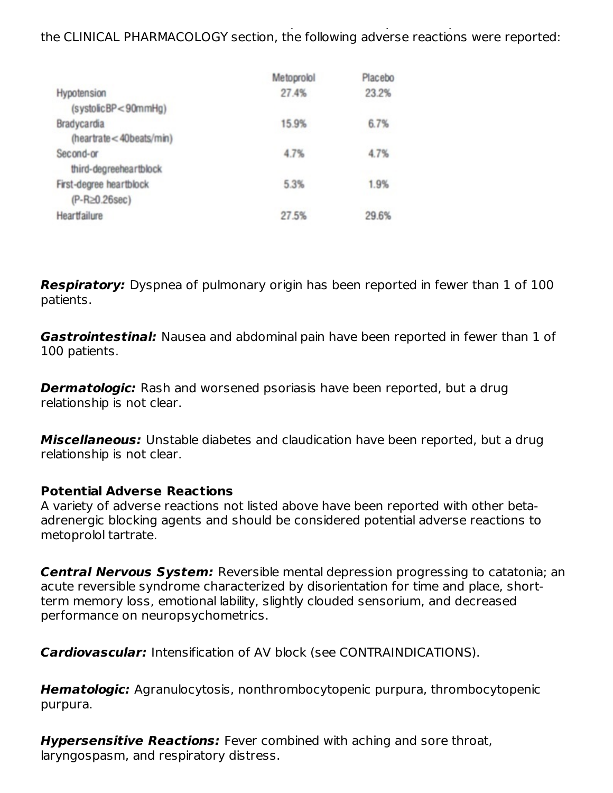**Cardiovascular:** In the randomized comparison of metoprolol and placebo described in the CLINICAL PHARMACOLOGY section, the following adverse reactions were reported:

|                         | Metoprolol | Placebo |
|-------------------------|------------|---------|
| Hypotension             | 27.4%      | 23.2%   |
| (systolicBP<90mmHg)     |            |         |
| Bradycardia             | 15.9%      | 6.7%    |
| (heartrate<40beats/min) |            |         |
| Second-or               | 4.7%       | 4.7%    |
| third-degreeheartblock  |            |         |
| First-degree heartblock | 5.3%       | 1.9%    |
| $(P-R\ge0.26sec)$       |            |         |
| Heartfailure            | 27.5%      | 29.6%   |

**Respiratory:** Dyspnea of pulmonary origin has been reported in fewer than 1 of 100 patients.

**Gastrointestinal:** Nausea and abdominal pain have been reported in fewer than 1 of 100 patients.

**Dermatologic:** Rash and worsened psoriasis have been reported, but a drug relationship is not clear.

**Miscellaneous:** Unstable diabetes and claudication have been reported, but a drug relationship is not clear.

#### **Potential Adverse Reactions**

A variety of adverse reactions not listed above have been reported with other betaadrenergic blocking agents and should be considered potential adverse reactions to metoprolol tartrate.

**Central Nervous System:** Reversible mental depression progressing to catatonia; an acute reversible syndrome characterized by disorientation for time and place, shortterm memory loss, emotional lability, slightly clouded sensorium, and decreased performance on neuropsychometrics.

**Cardiovascular:** Intensification of AV block (see CONTRAINDICATIONS).

**Hematologic:** Agranulocytosis, nonthrombocytopenic purpura, thrombocytopenic purpura.

**Hypersensitive Reactions:** Fever combined with aching and sore throat, laryngospasm, and respiratory distress.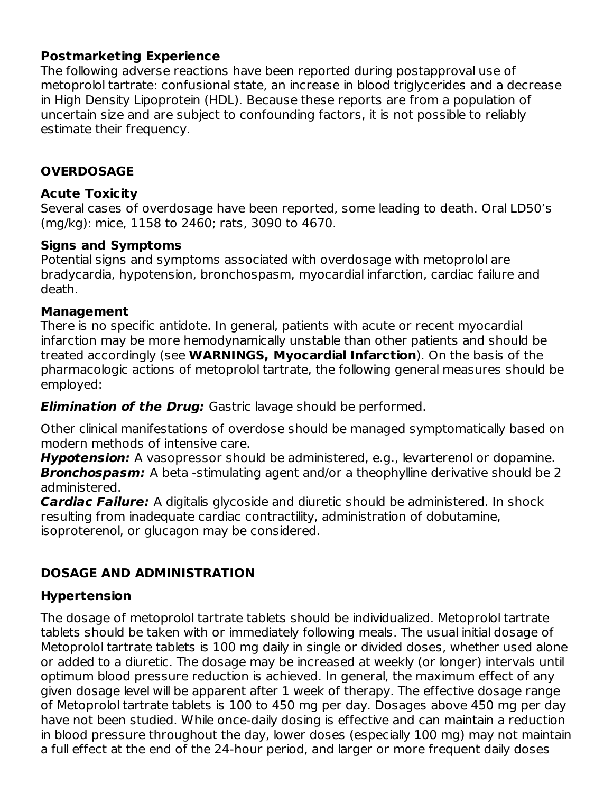### **Postmarketing Experience**

The following adverse reactions have been reported during postapproval use of metoprolol tartrate: confusional state, an increase in blood triglycerides and a decrease in High Density Lipoprotein (HDL). Because these reports are from a population of uncertain size and are subject to confounding factors, it is not possible to reliably estimate their frequency.

### **OVERDOSAGE**

#### **Acute Toxicity**

Several cases of overdosage have been reported, some leading to death. Oral LD50's (mg/kg): mice, 1158 to 2460; rats, 3090 to 4670.

### **Signs and Symptoms**

Potential signs and symptoms associated with overdosage with metoprolol are bradycardia, hypotension, bronchospasm, myocardial infarction, cardiac failure and death.

#### **Management**

There is no specific antidote. In general, patients with acute or recent myocardial infarction may be more hemodynamically unstable than other patients and should be treated accordingly (see **WARNINGS, Myocardial Infarction**). On the basis of the pharmacologic actions of metoprolol tartrate, the following general measures should be employed:

**Elimination of the Drug:** Gastric lavage should be performed.

Other clinical manifestations of overdose should be managed symptomatically based on modern methods of intensive care.

**Hypotension:** A vasopressor should be administered, e.g., levarterenol or dopamine. **Bronchospasm:** A beta -stimulating agent and/or a theophylline derivative should be 2 administered.

**Cardiac Failure:** A digitalis glycoside and diuretic should be administered. In shock resulting from inadequate cardiac contractility, administration of dobutamine, isoproterenol, or glucagon may be considered.

## **DOSAGE AND ADMINISTRATION**

## **Hypertension**

The dosage of metoprolol tartrate tablets should be individualized. Metoprolol tartrate tablets should be taken with or immediately following meals. The usual initial dosage of Metoprolol tartrate tablets is 100 mg daily in single or divided doses, whether used alone or added to a diuretic. The dosage may be increased at weekly (or longer) intervals until optimum blood pressure reduction is achieved. In general, the maximum effect of any given dosage level will be apparent after 1 week of therapy. The effective dosage range of Metoprolol tartrate tablets is 100 to 450 mg per day. Dosages above 450 mg per day have not been studied. While once-daily dosing is effective and can maintain a reduction in blood pressure throughout the day, lower doses (especially 100 mg) may not maintain a full effect at the end of the 24-hour period, and larger or more frequent daily doses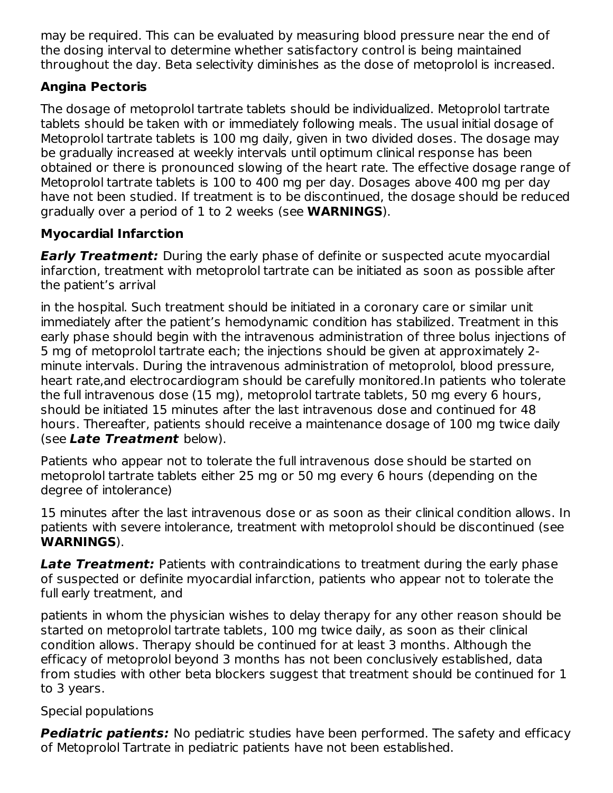may be required. This can be evaluated by measuring blood pressure near the end of the dosing interval to determine whether satisfactory control is being maintained throughout the day. Beta selectivity diminishes as the dose of metoprolol is increased.

## **Angina Pectoris**

The dosage of metoprolol tartrate tablets should be individualized. Metoprolol tartrate tablets should be taken with or immediately following meals. The usual initial dosage of Metoprolol tartrate tablets is 100 mg daily, given in two divided doses. The dosage may be gradually increased at weekly intervals until optimum clinical response has been obtained or there is pronounced slowing of the heart rate. The effective dosage range of Metoprolol tartrate tablets is 100 to 400 mg per day. Dosages above 400 mg per day have not been studied. If treatment is to be discontinued, the dosage should be reduced gradually over a period of 1 to 2 weeks (see **WARNINGS**).

## **Myocardial Infarction**

**Early Treatment:** During the early phase of definite or suspected acute myocardial infarction, treatment with metoprolol tartrate can be initiated as soon as possible after the patient's arrival

in the hospital. Such treatment should be initiated in a coronary care or similar unit immediately after the patient's hemodynamic condition has stabilized. Treatment in this early phase should begin with the intravenous administration of three bolus injections of 5 mg of metoprolol tartrate each; the injections should be given at approximately 2 minute intervals. During the intravenous administration of metoprolol, blood pressure, heart rate,and electrocardiogram should be carefully monitored.In patients who tolerate the full intravenous dose (15 mg), metoprolol tartrate tablets, 50 mg every 6 hours, should be initiated 15 minutes after the last intravenous dose and continued for 48 hours. Thereafter, patients should receive a maintenance dosage of 100 mg twice daily (see **Late Treatment** below).

Patients who appear not to tolerate the full intravenous dose should be started on metoprolol tartrate tablets either 25 mg or 50 mg every 6 hours (depending on the degree of intolerance)

15 minutes after the last intravenous dose or as soon as their clinical condition allows. In patients with severe intolerance, treatment with metoprolol should be discontinued (see **WARNINGS**).

**Late Treatment:** Patients with contraindications to treatment during the early phase of suspected or definite myocardial infarction, patients who appear not to tolerate the full early treatment, and

patients in whom the physician wishes to delay therapy for any other reason should be started on metoprolol tartrate tablets, 100 mg twice daily, as soon as their clinical condition allows. Therapy should be continued for at least 3 months. Although the efficacy of metoprolol beyond 3 months has not been conclusively established, data from studies with other beta blockers suggest that treatment should be continued for 1 to 3 years.

## Special populations

**Pediatric patients:** No pediatric studies have been performed. The safety and efficacy of Metoprolol Tartrate in pediatric patients have not been established.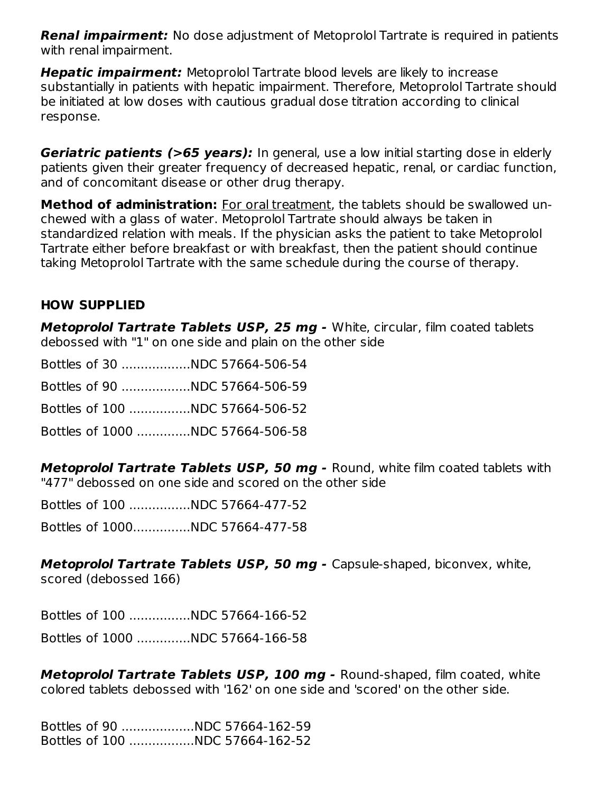**Renal impairment:** No dose adjustment of Metoprolol Tartrate is required in patients with renal impairment.

**Hepatic impairment:** Metoprolol Tartrate blood levels are likely to increase substantially in patients with hepatic impairment. Therefore, Metoprolol Tartrate should be initiated at low doses with cautious gradual dose titration according to clinical response.

**Geriatric patients (>65 years):** In general, use a low initial starting dose in elderly patients given their greater frequency of decreased hepatic, renal, or cardiac function, and of concomitant disease or other drug therapy.

**Method of administration:** For oral treatment, the tablets should be swallowed unchewed with a glass of water. Metoprolol Tartrate should always be taken in standardized relation with meals. If the physician asks the patient to take Metoprolol Tartrate either before breakfast or with breakfast, then the patient should continue taking Metoprolol Tartrate with the same schedule during the course of therapy.

### **HOW SUPPLIED**

**Metoprolol Tartrate Tablets USP, 25 mg -** White, circular, film coated tablets debossed with "1" on one side and plain on the other side

| Bottles of 30 NDC 57664-506-54   |  |
|----------------------------------|--|
|                                  |  |
| Bottles of 100 NDC 57664-506-52  |  |
| Bottles of 1000 NDC 57664-506-58 |  |

**Metoprolol Tartrate Tablets USP, 50 mg -** Round, white film coated tablets with "477" debossed on one side and scored on the other side

Bottles of 100 ................NDC 57664-477-52

Bottles of 1000...............NDC 57664-477-58

**Metoprolol Tartrate Tablets USP, 50 mg -** Capsule-shaped, biconvex, white, scored (debossed 166)

Bottles of 100 ................NDC 57664-166-52 Bottles of 1000 ..............NDC 57664-166-58

**Metoprolol Tartrate Tablets USP, 100 mg -** Round-shaped, film coated, white colored tablets debossed with '162' on one side and 'scored' on the other side.

Bottles of 90 ...................NDC 57664-162-59 Bottles of 100 .................NDC 57664-162-52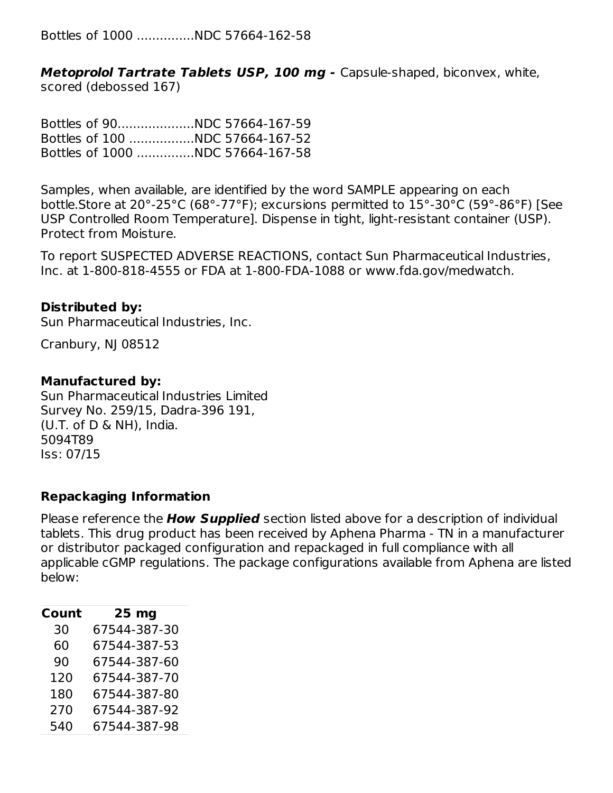Bottles of 1000 ...............NDC 57664-162-58

**Metoprolol Tartrate Tablets USP, 100 mg -** Capsule-shaped, biconvex, white, scored (debossed 167)

Bottles of 90....................NDC 57664-167-59 Bottles of 100 .................NDC 57664-167-52 Bottles of 1000 ...............NDC 57664-167-58

Samples, when available, are identified by the word SAMPLE appearing on each bottle.Store at 20°-25°C (68°-77°F); excursions permitted to 15°-30°C (59°-86°F) [See USP Controlled Room Temperature]. Dispense in tight, light-resistant container (USP). Protect from Moisture.

To report SUSPECTED ADVERSE REACTIONS, contact Sun Pharmaceutical Industries, Inc. at 1-800-818-4555 or FDA at 1-800-FDA-1088 or www.fda.gov/medwatch.

#### **Distributed by:**

Sun Pharmaceutical Industries, Inc.

Cranbury, NJ 08512

#### **Manufactured by:**

Sun Pharmaceutical Industries Limited Survey No. 259/15, Dadra-396 191, (U.T. of D & NH), India. 5094T89 Iss: 07/15

#### **Repackaging Information**

Please reference the **How Supplied** section listed above for a description of individual tablets. This drug product has been received by Aphena Pharma - TN in a manufacturer or distributor packaged configuration and repackaged in full compliance with all applicable cGMP regulations. The package configurations available from Aphena are listed below:

| Count | 25 <sub>mg</sub> |
|-------|------------------|
| 30    | 67544-387-30     |
| 60    | 67544-387-53     |
| 90    | 67544-387-60     |
| 120   | 67544-387-70     |
| 180   | 67544-387-80     |
| 270   | 67544-387-92     |
| 540   | 67544-387-98     |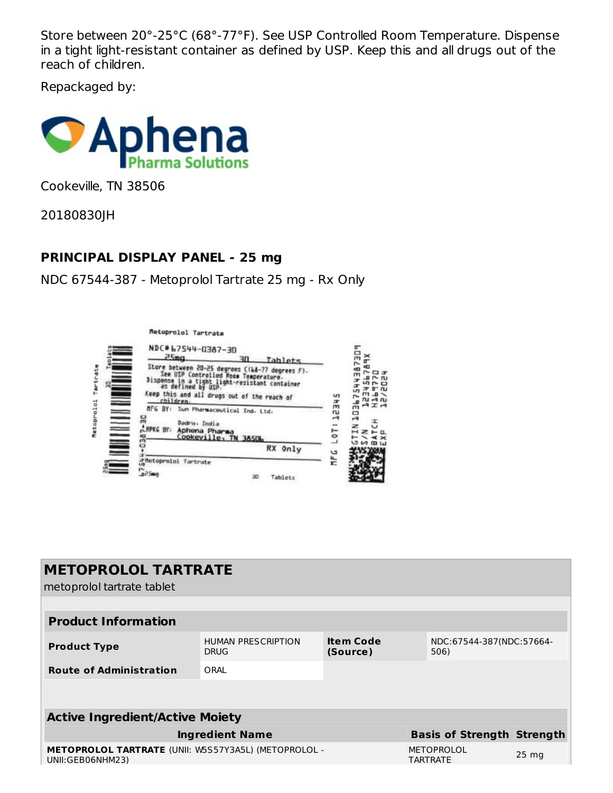Store between 20°-25°C (68°-77°F). See USP Controlled Room Temperature. Dispense in a tight light-resistant container as defined by USP. Keep this and all drugs out of the reach of children.

Repackaged by:



Cookeville, TN 38506

20180830JH

### **PRINCIPAL DISPLAY PANEL - 25 mg**

NDC 67544-387 - Metoprolol Tartrate 25 mg - Rx Only





| <b>METOPROLOL TARTRATE</b><br>metoprolol tartrate tablet                        |                                          |                              |                                      |                 |
|---------------------------------------------------------------------------------|------------------------------------------|------------------------------|--------------------------------------|-----------------|
|                                                                                 |                                          |                              |                                      |                 |
| <b>Product Information</b>                                                      |                                          |                              |                                      |                 |
| <b>Product Type</b>                                                             | <b>HUMAN PRESCRIPTION</b><br><b>DRUG</b> | <b>Item Code</b><br>(Source) | NDC:67544-387(NDC:57664-<br>506)     |                 |
| <b>Route of Administration</b>                                                  | ORAL                                     |                              |                                      |                 |
|                                                                                 |                                          |                              |                                      |                 |
| <b>Active Ingredient/Active Moiety</b>                                          |                                          |                              |                                      |                 |
|                                                                                 | <b>Ingredient Name</b>                   |                              | <b>Basis of Strength Strength</b>    |                 |
| <b>METOPROLOL TARTRATE (UNII: W5S57Y3A5L) (METOPROLOL -</b><br>UNII:GEB06NHM23) |                                          |                              | <b>METOPROLOL</b><br><b>TARTRATE</b> | $25 \text{ mg}$ |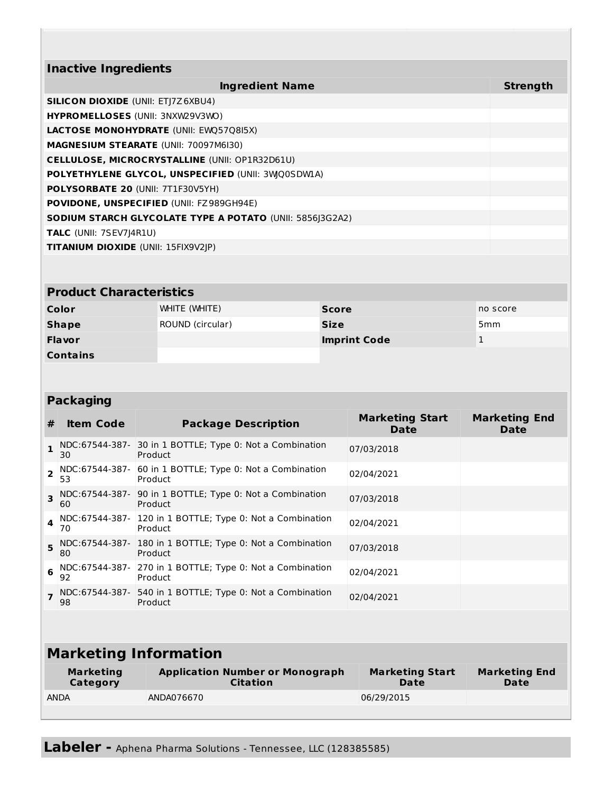| <b>Inactive Ingredients</b>                                     |                 |
|-----------------------------------------------------------------|-----------------|
| <b>Ingredient Name</b>                                          | <b>Strength</b> |
| <b>SILICON DIOXIDE (UNII: ETJ7Z6XBU4)</b>                       |                 |
| <b>HYPROMELLOSES (UNII: 3NXW29V3WO)</b>                         |                 |
| <b>LACTOSE MONOHYDRATE (UNII: EWQ57Q8I5X)</b>                   |                 |
| <b>MAGNESIUM STEARATE (UNII: 70097M6I30)</b>                    |                 |
| <b>CELLULOSE, MICROCRYSTALLINE (UNII: OP1R32D61U)</b>           |                 |
| POLYETHYLENE GLYCOL, UNSPECIFIED (UNII: 3WQ0SDW1A)              |                 |
| <b>POLYSORBATE 20 (UNII: 7T1F30V5YH)</b>                        |                 |
| <b>POVIDONE, UNSPECIFIED (UNII: FZ989GH94E)</b>                 |                 |
| <b>SODIUM STARCH GLYCOLATE TYPE A POTATO (UNII: 5856 3G2A2)</b> |                 |
| <b>TALC</b> (UNII: 7SEV7J4R1U)                                  |                 |
| <b>TITANIUM DIOXIDE (UNII: 15FIX9V2IP)</b>                      |                 |

### **Product Characteristics**

| Color           | WHITE (WHITE)    | <b>Score</b>        | no score        |
|-----------------|------------------|---------------------|-----------------|
| <b>Shape</b>    | ROUND (circular) | <b>Size</b>         | 5 <sub>mm</sub> |
| <b>Flavor</b>   |                  | <b>Imprint Code</b> |                 |
| <b>Contains</b> |                  |                     |                 |

### **Packaging**

| #              | <b>Item Code</b>     | <b>Package Description</b>                                           | <b>Marketing Start</b><br>Date | <b>Marketing End</b><br><b>Date</b> |
|----------------|----------------------|----------------------------------------------------------------------|--------------------------------|-------------------------------------|
| $\mathbf{1}$   | 30                   | NDC:67544-387- 30 in 1 BOTTLE; Type 0: Not a Combination<br>Product  | 07/03/2018                     |                                     |
| $\overline{2}$ | NDC:67544-387-<br>53 | 60 in 1 BOTTLE; Type 0: Not a Combination<br>Product                 | 02/04/2021                     |                                     |
| 3              | 60                   | NDC:67544-387- 90 in 1 BOTTLE; Type 0: Not a Combination<br>Product  | 07/03/2018                     |                                     |
| $\Delta$       | 70                   | NDC:67544-387- 120 in 1 BOTTLE; Type 0: Not a Combination<br>Product | 02/04/2021                     |                                     |
| 5              | 80                   | NDC:67544-387- 180 in 1 BOTTLE; Type 0: Not a Combination<br>Product | 07/03/2018                     |                                     |
| 6              | 92                   | NDC:67544-387- 270 in 1 BOTTLE; Type 0: Not a Combination<br>Product | 02/04/2021                     |                                     |
|                | 98                   | NDC:67544-387- 540 in 1 BOTTLE; Type 0: Not a Combination<br>Product | 02/04/2021                     |                                     |

# **Marketing Information**

| <b>Marketing</b> | <b>Application Number or Monograph</b> | <b>Marketing Start</b> | <b>Marketing End</b> |
|------------------|----------------------------------------|------------------------|----------------------|
| Category         | <b>Citation</b>                        | Date                   | Date                 |
| <b>ANDA</b>      | ANDA076670                             | 06/29/2015             |                      |